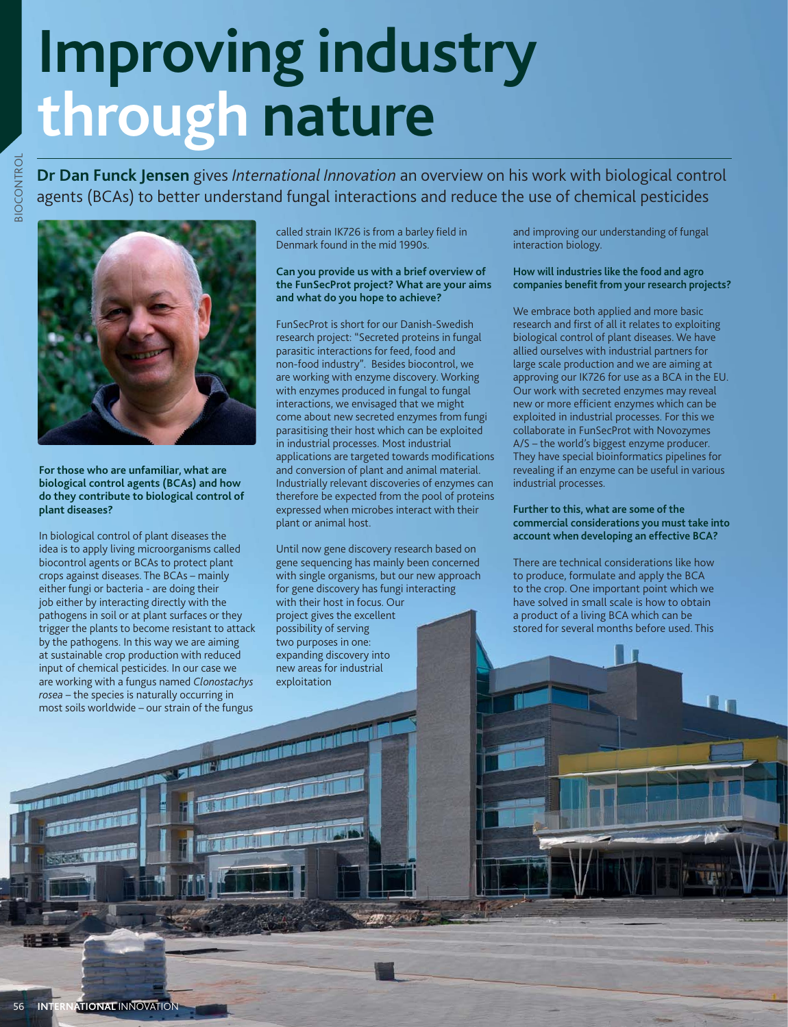# **Improving industry through nature**

**Dr Dan Funck Jensen** gives *International Innovation* an overview on his work with biological control agents (BCAs) to better understand fungal interactions and reduce the use of chemical pesticides



**For those who are unfamiliar, what are biological control agents (BCAs) and how do they contribute to biological control of plant diseases?**

In biological control of plant diseases the idea is to apply living microorganisms called biocontrol agents or BCAs to protect plant crops against diseases. The BCAs – mainly either fungi or bacteria - are doing their job either by interacting directly with the pathogens in soil or at plant surfaces or they trigger the plants to become resistant to attack by the pathogens. In this way we are aiming at sustainable crop production with reduced input of chemical pesticides. In our case we are working with a fungus named *Clonostachys rosea* – the species is naturally occurring in most soils worldwide – our strain of the fungus

called strain IK726 is from a barley field in Denmark found in the mid 1990s.

### **Can you provide us with a brief overview of the FunSecProt project? What are your aims and what do you hope to achieve?**

FunSecProt is short for our Danish-Swedish research project: "Secreted proteins in fungal parasitic interactions for feed, food and non-food industry". Besides biocontrol, we are working with enzyme discovery. Working with enzymes produced in fungal to fungal interactions, we envisaged that we might come about new secreted enzymes from fungi parasitising their host which can be exploited in industrial processes. Most industrial applications are targeted towards modifications and conversion of plant and animal material. Industrially relevant discoveries of enzymes can therefore be expected from the pool of proteins expressed when microbes interact with their plant or animal host.

Until now gene discovery research based on gene sequencing has mainly been concerned with single organisms, but our new approach for gene discovery has fungi interacting with their host in focus. Our project gives the excellent possibility of serving two purposes in one: expanding discovery into new areas for industrial exploitation

and improving our understanding of fungal interaction biology.

### **How will industries like the food and agro**  companies benefit from your research projects?

We embrace both applied and more basic research and first of all it relates to exploiting biological control of plant diseases. We have allied ourselves with industrial partners for large scale production and we are aiming at approving our IK726 for use as a BCA in the EU. Our work with secreted enzymes may reveal new or more efficient enzymes which can be exploited in industrial processes. For this we collaborate in FunSecProt with Novozymes A/S – the world's biggest enzyme producer. They have special bioinformatics pipelines for revealing if an enzyme can be useful in various industrial processes.

### **Further to this, what are some of the commercial considerations you must take into account when developing an effective BCA?**

There are technical considerations like how to produce, formulate and apply the BCA to the crop. One important point which we have solved in small scale is how to obtain a product of a living BCA which can be stored for several months before used. This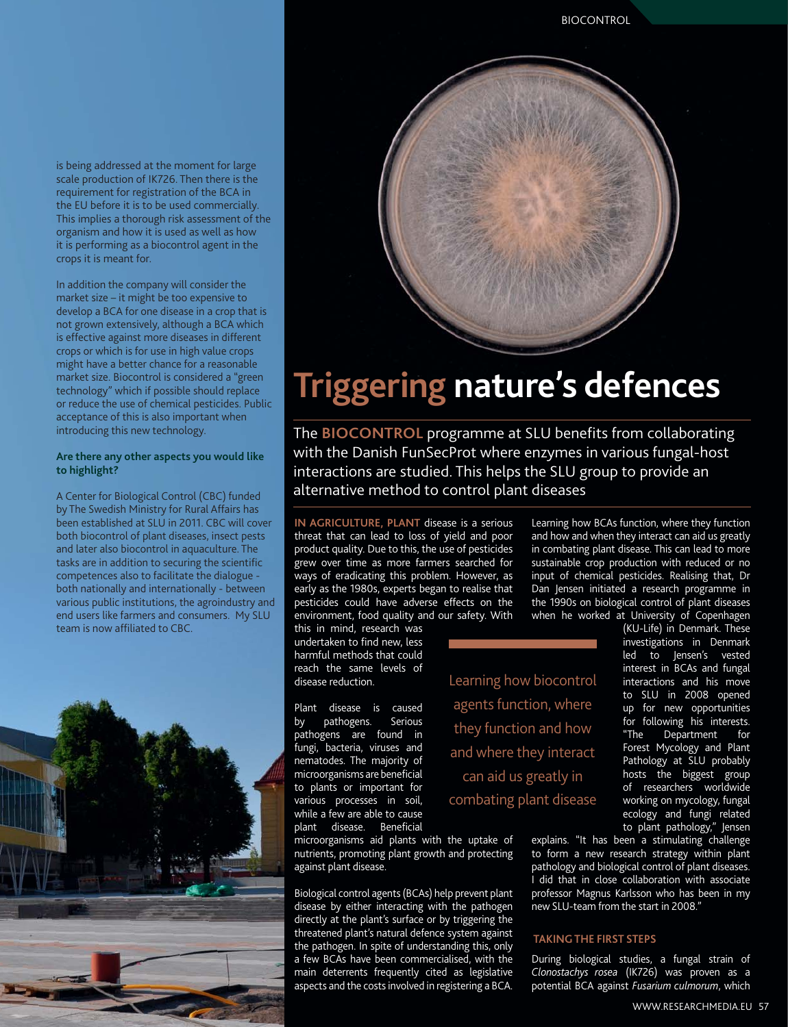is being addressed at the moment for large scale production of IK726. Then there is the requirement for registration of the BCA in the EU before it is to be used commercially. This implies a thorough risk assessment of the organism and how it is used as well as how it is performing as a biocontrol agent in the crops it is meant for.

In addition the company will consider the market size – it might be too expensive to develop a BCA for one disease in a crop that is not grown extensively, although a BCA which is effective against more diseases in different crops or which is for use in high value crops might have a better chance for a reasonable market size. Biocontrol is considered a "green technology" which if possible should replace or reduce the use of chemical pesticides. Public acceptance of this is also important when introducing this new technology.

#### **Are there any other aspects you would like to highlight?**

A Center for Biological Control (CBC) funded by The Swedish Ministry for Rural Affairs has been established at SLU in 2011. CBC will cover both biocontrol of plant diseases, insect pests and later also biocontrol in aquaculture. The tasks are in addition to securing the scientific competences also to facilitate the dialogue both nationally and internationally - between various public institutions, the agroindustry and end users like farmers and consumers. My SLU team is now affiliated to CBC.





## **Triggering nature's defences**

The **BIOCONTROL** programme at SLU benefits from collaborating with the Danish FunSecProt where enzymes in various fungal-host interactions are studied. This helps the SLU group to provide an alternative method to control plant diseases

**IN AGRICULTURE, PLANT** disease is a serious threat that can lead to loss of yield and poor product quality. Due to this, the use of pesticides grew over time as more farmers searched for ways of eradicating this problem. However, as early as the 1980s, experts began to realise that pesticides could have adverse effects on the environment, food quality and our safety. With

this in mind, research was undertaken to find new, less harmful methods that could reach the same levels of disease reduction.

Plant disease is caused<br>by pathogens. Serious by pathogens. pathogens are found in fungi, bacteria, viruses and nematodes. The majority of microorganisms are beneficial to plants or important for various processes in soil, while a few are able to cause plant disease. Beneficial Learning how biocontrol agents function, where they function and how and where they interact can aid us greatly in combating plant disease

Learning how BCAs function, where they function and how and when they interact can aid us greatly in combating plant disease. This can lead to more sustainable crop production with reduced or no input of chemical pesticides. Realising that, Dr Dan Jensen initiated a research programme in the 1990s on biological control of plant diseases when he worked at University of Copenhagen

(KU-Life) in Denmark. These investigations in Denmark led to Jensen's vested interest in BCAs and fungal interactions and his move to SLU in 2008 opened up for new opportunities for following his interests.<br>"The Department for Department for Forest Mycology and Plant Pathology at SLU probably hosts the biggest group of researchers worldwide working on mycology, fungal ecology and fungi related to plant pathology," Jensen

microorganisms aid plants with the uptake of nutrients, promoting plant growth and protecting against plant disease.

Biological control agents (BCAs) help prevent plant disease by either interacting with the pathogen directly at the plant's surface or by triggering the threatened plant's natural defence system against the pathogen. In spite of understanding this, only a few BCAs have been commercialised, with the main deterrents frequently cited as legislative aspects and the costs involved in registering a BCA.

explains. "It has been a stimulating challenge to form a new research strategy within plant pathology and biological control of plant diseases. I did that in close collaboration with associate professor Magnus Karlsson who has been in my new SLU-team from the start in 2008."

### **TAKING THE FIRST STEPS**

During biological studies, a fungal strain of *Clonostachys rosea* (IK726) was proven as a potential BCA against *Fusarium culmorum*, which